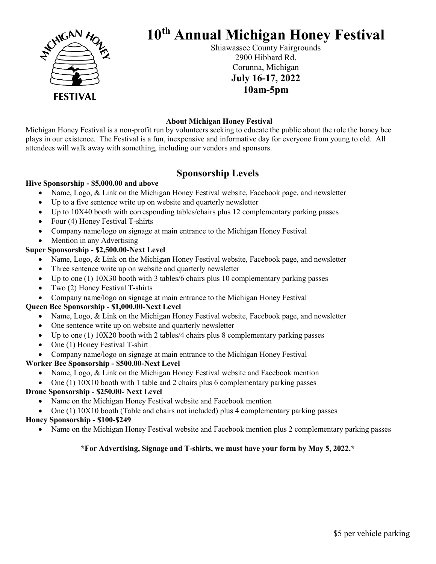

# 10th Annual Michigan Honey Festival

Shiawassee County Fairgrounds 2900 Hibbard Rd. Corunna, Michigan July 16-17, 2022 10am-5pm

#### About Michigan Honey Festival

Michigan Honey Festival is a non-profit run by volunteers seeking to educate the public about the role the honey bee plays in our existence. The Festival is a fun, inexpensive and informative day for everyone from young to old. All attendees will walk away with something, including our vendors and sponsors.

### Sponsorship Levels

#### Hive Sponsorship - \$5,000.00 and above

- Name, Logo, & Link on the Michigan Honey Festival website, Facebook page, and newsletter
- Up to a five sentence write up on website and quarterly newsletter
- Up to 10X40 booth with corresponding tables/chairs plus 12 complementary parking passes
- Four (4) Honey Festival T-shirts
- Company name/logo on signage at main entrance to the Michigan Honey Festival
- Mention in any Advertising

#### Super Sponsorship - \$2,500.00-Next Level

- Name, Logo, & Link on the Michigan Honey Festival website, Facebook page, and newsletter
- Three sentence write up on website and quarterly newsletter
- Up to one (1) 10X30 booth with 3 tables/6 chairs plus 10 complementary parking passes
- Two (2) Honey Festival T-shirts
- Company name/logo on signage at main entrance to the Michigan Honey Festival

#### Queen Bee Sponsorship - \$1,000.00-Next Level

- Name, Logo, & Link on the Michigan Honey Festival website, Facebook page, and newsletter
- One sentence write up on website and quarterly newsletter
- Up to one (1)  $10X20$  booth with 2 tables/4 chairs plus 8 complementary parking passes
- One (1) Honey Festival T-shirt
- Company name/logo on signage at main entrance to the Michigan Honey Festival

#### Worker Bee Sponsorship - \$500.00-Next Level

- Name, Logo, & Link on the Michigan Honey Festival website and Facebook mention
- One (1) 10X10 booth with 1 table and 2 chairs plus 6 complementary parking passes

#### Drone Sponsorship - \$250.00- Next Level

- Name on the Michigan Honey Festival website and Facebook mention
- One (1) 10X10 booth (Table and chairs not included) plus 4 complementary parking passes

#### Honey Sponsorship - \$100-\$249

Name on the Michigan Honey Festival website and Facebook mention plus 2 complementary parking passes

#### \*For Advertising, Signage and T-shirts, we must have your form by May 5, 2022.\*